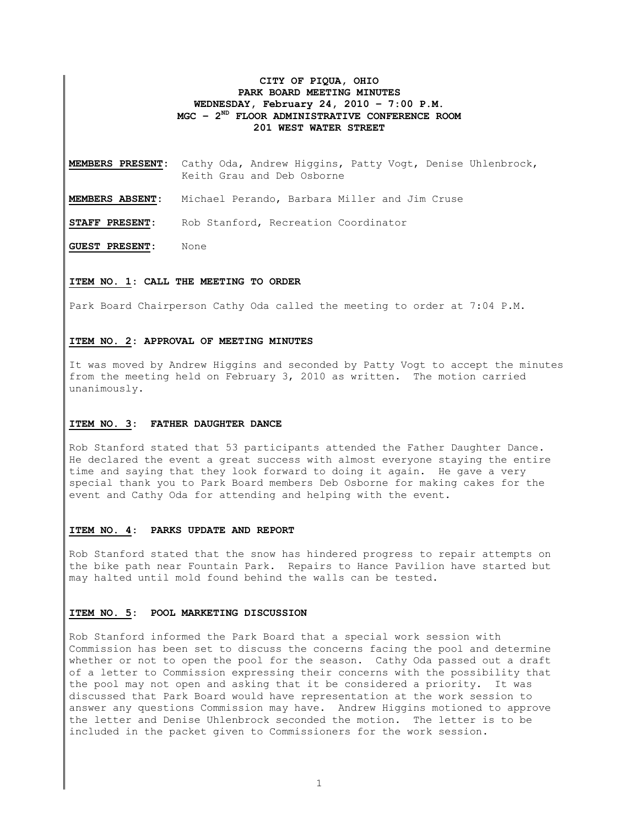## **CITY OF PIQUA, OHIO PARK BOARD MEETING MINUTES WEDNESDAY, February 24, 2010 – 7:00 P.M. MGC – 2ND FLOOR ADMINISTRATIVE CONFERENCE ROOM 201 WEST WATER STREET**

**MEMBERS PRESENT:** Cathy Oda, Andrew Higgins, Patty Vogt, Denise Uhlenbrock, Keith Grau and Deb Osborne

**MEMBERS ABSENT:** Michael Perando, Barbara Miller and Jim Cruse

**STAFF PRESENT:** Rob Stanford, Recreation Coordinator

**GUEST PRESENT:** None

### **ITEM NO. 1: CALL THE MEETING TO ORDER**

Park Board Chairperson Cathy Oda called the meeting to order at 7:04 P.M.

## **ITEM NO. 2: APPROVAL OF MEETING MINUTES**

It was moved by Andrew Higgins and seconded by Patty Vogt to accept the minutes from the meeting held on February 3, 2010 as written. The motion carried unanimously.

#### **ITEM NO. 3: FATHER DAUGHTER DANCE**

Rob Stanford stated that 53 participants attended the Father Daughter Dance. He declared the event a great success with almost everyone staying the entire time and saying that they look forward to doing it again. He gave a very special thank you to Park Board members Deb Osborne for making cakes for the event and Cathy Oda for attending and helping with the event.

#### **ITEM NO. 4: PARKS UPDATE AND REPORT**

Rob Stanford stated that the snow has hindered progress to repair attempts on the bike path near Fountain Park. Repairs to Hance Pavilion have started but may halted until mold found behind the walls can be tested.

#### **ITEM NO. 5: POOL MARKETING DISCUSSION**

Rob Stanford informed the Park Board that a special work session with Commission has been set to discuss the concerns facing the pool and determine whether or not to open the pool for the season. Cathy Oda passed out a draft of a letter to Commission expressing their concerns with the possibility that the pool may not open and asking that it be considered a priority. It was discussed that Park Board would have representation at the work session to answer any questions Commission may have. Andrew Higgins motioned to approve the letter and Denise Uhlenbrock seconded the motion. The letter is to be included in the packet given to Commissioners for the work session.